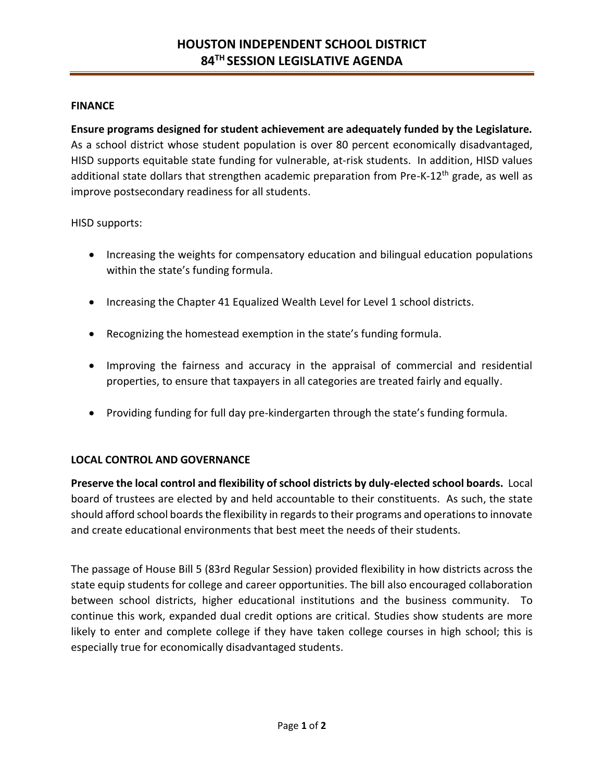## **FINANCE**

**Ensure programs designed for student achievement are adequately funded by the Legislature.**  As a school district whose student population is over 80 percent economically disadvantaged, HISD supports equitable state funding for vulnerable, at-risk students. In addition, HISD values additional state dollars that strengthen academic preparation from Pre-K-12<sup>th</sup> grade, as well as improve postsecondary readiness for all students.

HISD supports:

- Increasing the weights for compensatory education and bilingual education populations within the state's funding formula.
- Increasing the Chapter 41 Equalized Wealth Level for Level 1 school districts.
- Recognizing the homestead exemption in the state's funding formula.
- Improving the fairness and accuracy in the appraisal of commercial and residential properties, to ensure that taxpayers in all categories are treated fairly and equally.
- Providing funding for full day pre-kindergarten through the state's funding formula.

## **LOCAL CONTROL AND GOVERNANCE**

**Preserve the local control and flexibility of school districts by duly-elected school boards.** Local board of trustees are elected by and held accountable to their constituents. As such, the state should afford school boards the flexibility in regards to their programs and operations to innovate and create educational environments that best meet the needs of their students.

The passage of House Bill 5 (83rd Regular Session) provided flexibility in how districts across the state equip students for college and career opportunities. The bill also encouraged collaboration between school districts, higher educational institutions and the business community. To continue this work, expanded dual credit options are critical. Studies show students are more likely to enter and complete college if they have taken college courses in high school; this is especially true for economically disadvantaged students.